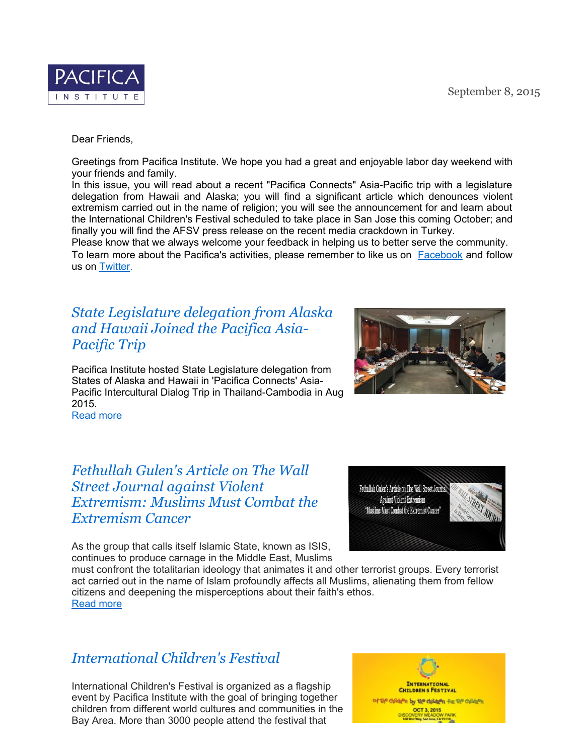

Dear Friends,

Greetings from Pacifica Institute. We hope you had a great and enjoyable labor day weekend with your friends and family.

In this issue, you will read about a recent "Pacifica Connects" Asia-Pacific trip with a legislature delegation from Hawaii and Alaska; you will find a significant article which denounces violent extremism carried out in the name of religion; you will see the announcement for and learn about the International Children's Festival scheduled to take place in San Jose this coming October; and finally you will find the AFSV press release on the recent media crackdown in Turkey.

Please know that we always welcome your feedback in helping us to better serve the community. To learn more about the Pacifica's activities, please remember to like us on Facebook and follow us on Twitter.

# *State Legislature delegation from Alaska and Hawaii Joined the Pacifica Asia-Pacific Trip*

Pacifica Institute hosted State Legislature delegation from States of Alaska and Hawaii in 'Pacifica Connects' Asia-Pacific Intercultural Dialog Trip in Thailand-Cambodia in Aug 2015.

Read more

## *Fethullah Gulen's Article on The Wall Street Journal against Violent Extremism: Muslims Must Combat the Extremism Cancer*

As the group that calls itself Islamic State, known as ISIS, continues to produce carnage in the Middle East, Muslims

must confront the totalitarian ideology that animates it and other terrorist groups. Every terrorist act carried out in the name of Islam profoundly affects all Muslims, alienating them from fellow citizens and deepening the misperceptions about their faith's ethos. Read more

# *International Children's Festival*

International Children's Festival is organized as a flagship event by Pacifica Institute with the goal of bringing together children from different world cultures and communities in the Bay Area. More than 3000 people attend the festival that